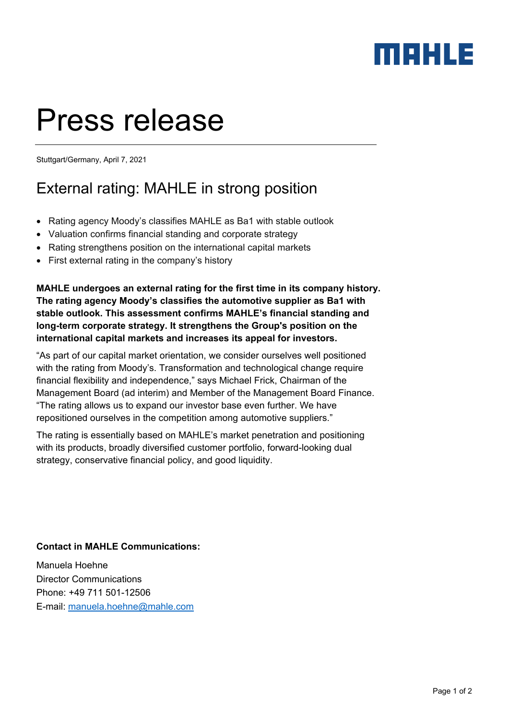## MEHLE

# Press release

Stuttgart/Germany, April 7, 2021

## External rating: MAHLE in strong position

- Rating agency Moody's classifies MAHLE as Ba1 with stable outlook
- Valuation confirms financial standing and corporate strategy
- Rating strengthens position on the international capital markets
- First external rating in the company's history

**MAHLE undergoes an external rating for the first time in its company history. The rating agency Moody's classifies the automotive supplier as Ba1 with stable outlook. This assessment confirms MAHLE's financial standing and long-term corporate strategy. It strengthens the Group's position on the international capital markets and increases its appeal for investors.** 

"As part of our capital market orientation, we consider ourselves well positioned with the rating from Moody's. Transformation and technological change require financial flexibility and independence," says Michael Frick, Chairman of the Management Board (ad interim) and Member of the Management Board Finance. "The rating allows us to expand our investor base even further. We have repositioned ourselves in the competition among automotive suppliers."

The rating is essentially based on MAHLE's market penetration and positioning with its products, broadly diversified customer portfolio, forward-looking dual strategy, conservative financial policy, and good liquidity.

### **Contact in MAHLE Communications:**

Manuela Hoehne Director Communications Phone: +49 711 501-12506 E-mail: manuela.hoehne@mahle.com